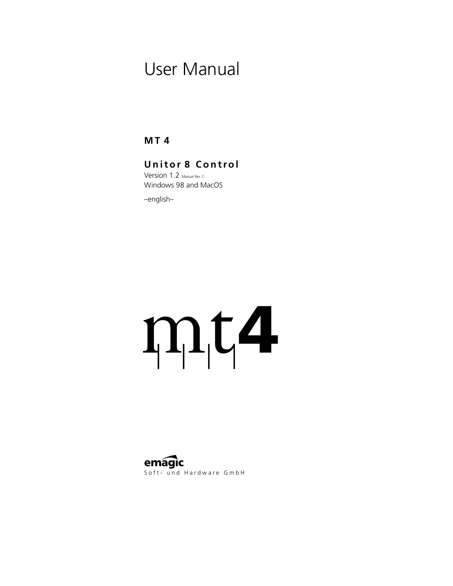# User Manual

**MT 4**

# **Unitor 8 Control**

Version 1.2 Manual Rev. C. Windows 98 and MacOS

–english–

# $m<sub>1</sub>$

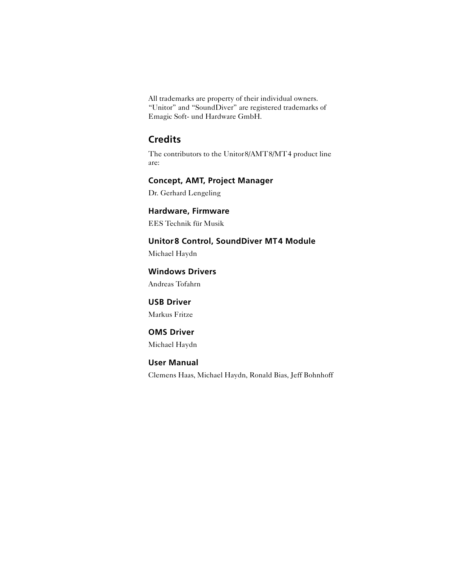All trademarks are property of their individual owners. "Unitor" and "SoundDiver" are registered trademarks of Emagic Soft- und Hardware GmbH.

# **Credits**

The contributors to the Unitor8/AMT8/MT4 product line are:

### **Concept, AMT, Project Manager**

Dr. Gerhard Lengeling

#### **Hardware, Firmware**

EES Technik für Musik

#### **Unitor8 Control, SoundDiver MT4 Module**

Michael Haydn

### **Windows Drivers**

Andreas Tofahrn

### **USB Driver**

Markus Fritze

### **OMS Driver**

Michael Haydn

### **User Manual**

Clemens Haas, Michael Haydn, Ronald Bias, Jeff Bohnhoff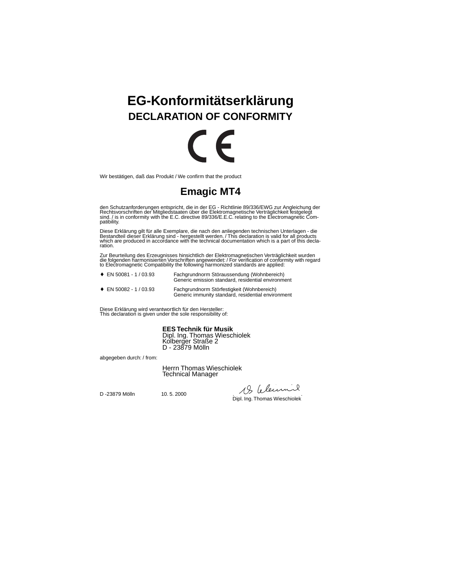# **EG-Konformitätserklärung DECLARATION OF CONFORMITY**



Wir bestätigen, daß das Produkt / We confirm that the product

# **Emagic MT4**

den Schutzanforderungen entspricht, die in der EG - Richtlinie 89/336/EWG zur Angleichung der<br>Rechtsvorschriften der Mitgliedstaaten über die Elektromagnetische Verträglichkeit festgelegt<br>sind. / is in conformity with the patibility.

Diese Erklärung gilt für alle Exemplare, die nach den anliegenden technischen Unterlagen - die Bestandteil dieser Erklärung sind - hergestellt werden. / This declaration is valid for all products<br>which are produced in accordance with the technical documentation which is a part of this declaration.

Zur Beurteilung des Erzeugnisses hinsichtlich der Elektromagnetischen Verträglichkeit wurden die folgenden harmonisierten Vorschriften angewendet: / For verification of conformity with regard to Electromagnetic Compatibility the following harmonized standards are applied:

| $\bullet$ EN 50081 - 1 / 03.93  | Fachgrundnorm Störaussendung (Wohnbereich)<br>Generic emission standard, residential environment |
|---------------------------------|--------------------------------------------------------------------------------------------------|
| $\cdot$ FN E0000 $\cdot$ /00.00 | Foobasundoose Othsfootiglich Ullabebosaigh)                                                      |

♦ EN 50082 - 1 / 03.93 Fachgrundnorm Störfestigkeit (Wohnbereich) Generic immunity standard, residential environment

Diese Erklärung wird verantwortlich für den Hersteller: This declaration is given under the sole responsibility of:

**EES Technik für Musik**

Dipl. Ing. Thomas Wieschiolek Kolberger Straße 2 D - 23879 Mölln

abgegeben durch: / from:

Herrn Thomas Wieschiolek Technical Manager

D -23879 Mölln 10. 5. 2000 . . Dipl. Ing. Thomas Wieschiolek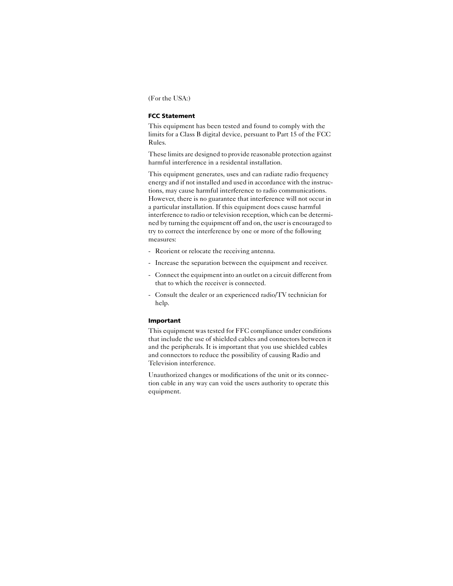(For the USA:)

#### **FCC Statement**

This equipment has been tested and found to comply with the limits for a Class B digital device, persuant to Part 15 of the FCC Rules.

These limits are designed to provide reasonable protection against harmful interference in a residental installation.

This equipment generates, uses and can radiate radio frequency energy and if not installed and used in accordance with the instructions, may cause harmful interference to radio communications. However, there is no guarantee that interference will not occur in a particular installation. If this equipment does cause harmful interference to radio or television reception, which can be determined by turning the equipment off and on, the user is encouraged to try to correct the interference by one or more of the following measures:

- Reorient or relocate the receiving antenna.
- Increase the separation between the equipment and receiver.
- Connect the equipment into an outlet on a circuit different from that to which the receiver is connected.
- Consult the dealer or an experienced radio/TV technician for help.

#### **Important**

This equipment was tested for FFC compliance under conditions that include the use of shielded cables and connectors between it and the peripherals. It is important that you use shielded cables and connectors to reduce the possibility of causing Radio and Television interference.

Unauthorized changes or modifications of the unit or its connection cable in any way can void the users authority to operate this equipment.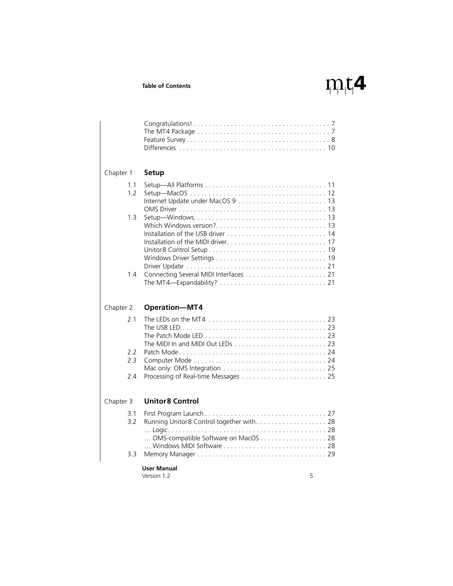# $m<sub>i</sub>$

| Chapter 1  | <b>Setup</b>                        |
|------------|-------------------------------------|
| 1.1<br>1.2 |                                     |
| 1.3        |                                     |
| 1.4        |                                     |
| Chapter 2  | <b>Operation-MT4</b>                |
| 2.1        |                                     |
| 2.2<br>2.3 |                                     |
| 2.4        |                                     |
| Chapter 3  | <b>Unitor8 Control</b>              |
| 3.1<br>3.2 | OMS-compatible Software on MacOS 28 |
| 3.3        |                                     |
|            | Hear Manual                         |

#### **User Manual**

Version 1.2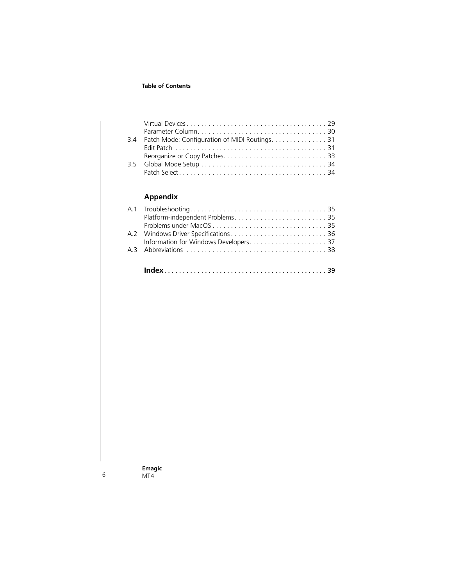| 34 |  |
|----|--|
|    |  |
|    |  |
|    |  |
|    |  |

#### **[Appendix](#page-34-0)**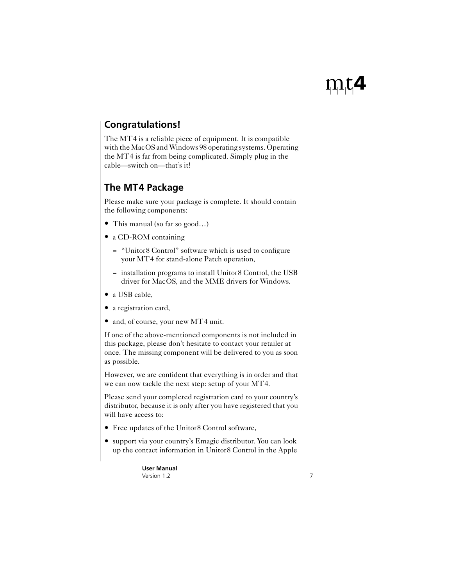# <span id="page-6-6"></span><span id="page-6-2"></span><span id="page-6-0"></span>**Congratulations!**

<span id="page-6-5"></span>The MT4 is a reliable piece of equipment. It is compatible with the MacOS and Windows 98 operating systems. Operating the MT4 is far from being complicated. Simply plug in the cable—switch on—that's it!

# <span id="page-6-1"></span>**The MT4 Package**

<span id="page-6-3"></span>Please make sure your package is complete. It should contain the following components:

- This manual (so far so good...)
- a CD-ROM containing
	- "Unitor8 Control" software which is used to configure your MT4 for stand-alone Patch operation,
	- installation programs to install Unitor8 Control, the USB driver for MacOS, and the MME drivers for Windows.
- a USB cable.
- a registration card,
- and, of course, your new MT4 unit.

<span id="page-6-4"></span>If one of the above-mentioned components is not included in this package, please don't hesitate to contact your retailer at once. The missing component will be delivered to you as soon as possible.

However, we are confident that everything is in order and that we can now tackle the next step: setup of your MT4.

Please send your completed registration card to your country's distributor, because it is only after you have registered that you will have access to:

- Free updates of the Unitor8 Control software,
- support via your country's Emagic distributor. You can look up the contact information in Unitor8 Control in the Apple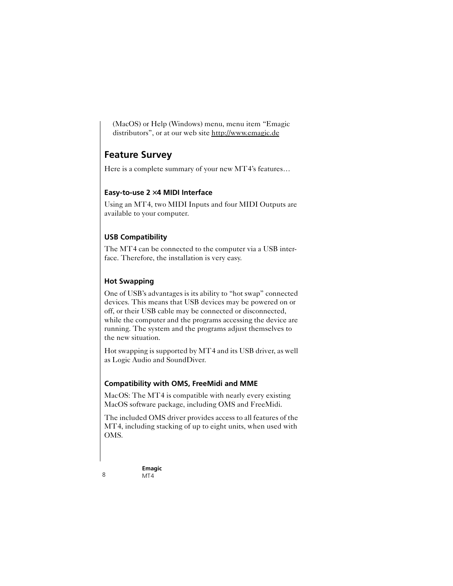<span id="page-7-3"></span>(MacOS) or Help (Windows) menu, menu item "Emagic distributors", or at our web site http://www.emagic.de

# <span id="page-7-0"></span>**Feature Survey**

<span id="page-7-2"></span>Here is a complete summary of your new MT4's features...

#### **Easy-to-use 2** × **4 MIDI Interface**

Using an MT4, two MIDI Inputs and four MIDI Outputs are available to your computer.

### **USB Compatibility**

The MT4 can be connected to the computer via a USB interface. Therefore, the installation is very easy.

### <span id="page-7-5"></span><span id="page-7-4"></span><span id="page-7-1"></span>**Hot Swapping**

One of USB's advantages is its ability to "hot swap" connected devices. This means that USB devices may be powered on or off, or their USB cable may be connected or disconnected, while the computer and the programs accessing the device are running. The system and the programs adjust themselves to the new situation.

Hot swapping is supported by MT4 and its USB driver, as well as Logic Audio and SoundDiver.

### **Compatibility with OMS, FreeMidi and MME**

MacOS: The MT4 is compatible with nearly every existing MacOS software package, including OMS and FreeMidi.

The included OMS driver provides access to all features of the MT4, including stacking of up to eight units, when used with OMS.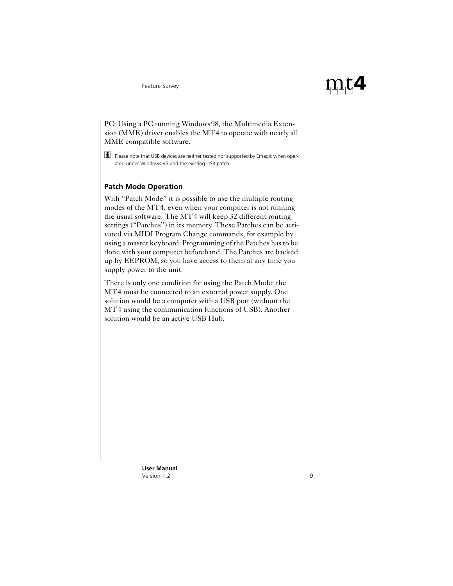<span id="page-8-1"></span>

<span id="page-8-6"></span><span id="page-8-5"></span><span id="page-8-4"></span><span id="page-8-3"></span><span id="page-8-2"></span>PC: Using a PC running Windows98, the Multimedia Extension (MME) driver enables the MT4 to operate with nearly all MME compatible software.

<span id="page-8-0"></span> $\Box$  Please note that USB devices are neither tested nor supported by Emagic when operated under Windows 95 and the existing USB patch.

#### **Patch Mode Operation**

With "Patch Mode" it is possible to use the multiple routing modes of the MT4, even when your computer is not running the usual software. The MT4 will keep 32 different routing settings ("Patches") in its memory. These Patches can be activated via MIDI Program Change commands, for example by using a master keyboard. Programming of the Patches has to be done with your computer beforehand. The Patches are backed up by EEPROM, so you have access to them at any time you supply power to the unit.

There is only one condition for using the Patch Mode: the MT4 must be connected to an external power supply. One solution would be a computer with a USB port (without the MT4 using the communication functions of USB). Another solution would be an active USB Hub.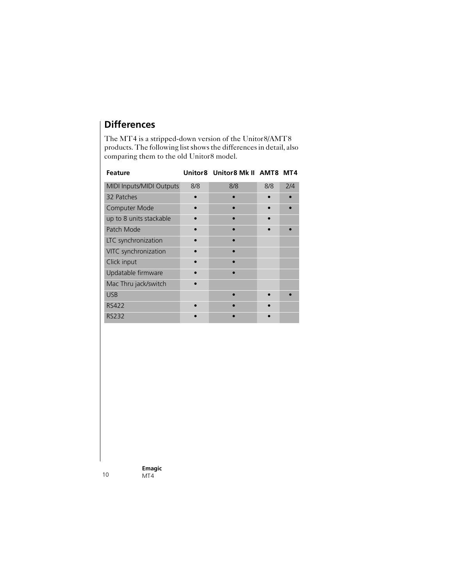# <span id="page-9-0"></span>**Differences**

<span id="page-9-2"></span><span id="page-9-1"></span>The MT4 is a stripped-down version of the Unitor8/AMT8 products. The following list shows the differences in detail, also comparing them to the old Unitor8 model.

| <b>Feature</b>                  |     | Unitor8 Unitor8 Mk II AMT8 MT4 |     |     |
|---------------------------------|-----|--------------------------------|-----|-----|
| <b>MIDI Inputs/MIDI Outputs</b> | 8/8 | 8/8                            | 8/8 | 2/4 |
| 32 Patches                      |     |                                |     |     |
| Computer Mode                   |     |                                |     |     |
| up to 8 units stackable         |     |                                |     |     |
| Patch Mode                      |     |                                |     |     |
| LTC synchronization             |     |                                |     |     |
| VITC synchronization            |     |                                |     |     |
| Click input                     |     |                                |     |     |
| Updatable firmware              |     |                                |     |     |
| Mac Thru jack/switch            |     |                                |     |     |
| <b>USB</b>                      |     |                                |     |     |
| <b>RS422</b>                    |     |                                |     |     |
| <b>RS232</b>                    |     |                                |     |     |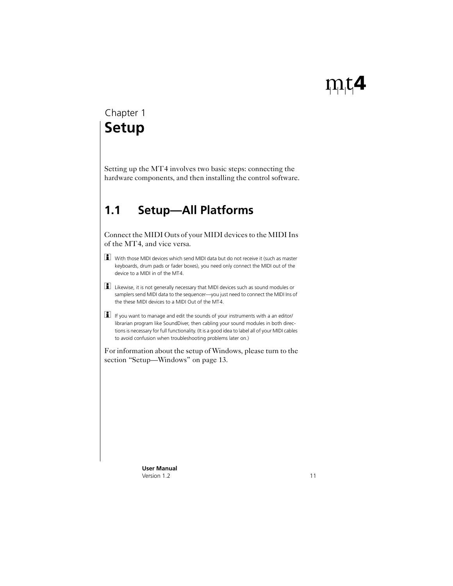# <span id="page-10-0"></span>**Setup** Chapter 1

Setting up the MT4 involves two basic steps: connecting the hardware components, and then installing the control software.

# <span id="page-10-3"></span><span id="page-10-2"></span><span id="page-10-1"></span>**1.1 Setup—All Platforms**

Connect the MIDI Outs of your MIDI devices to the MIDI Ins of the MT4, and vice versa.

- With those MIDI devices which send MIDI data but do not receive it (such as master keyboards, drum pads or fader boxes), you need only connect the MIDI out of the device to a MIDI in of the MT4.
- Likewise, it is not generally necessary that MIDI devices such as sound modules or samplers send MIDI data to the sequencer—you just need to connect the MIDI Ins of the these MIDI devices to a MIDI Out of the MT4.
- $\Box$  If you want to manage and edit the sounds of your instruments with a an editor/ librarian program like SoundDiver, then cabling your sound modules in both directions is necessary for full functionality. (It is a good idea to label all of your MIDI cables to avoid confusion when troubleshooting problems later on.)

For information about the setup of Windows, please turn to the [section "Setup—Windows" on page 13](#page-12-2).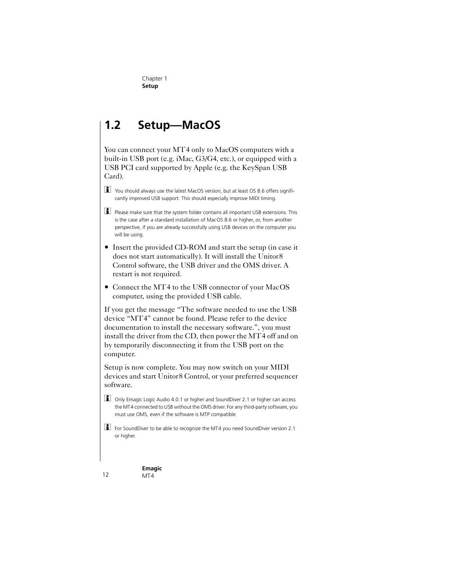# <span id="page-11-2"></span><span id="page-11-1"></span><span id="page-11-0"></span>**1.2 Setup—MacOS**

<span id="page-11-4"></span><span id="page-11-3"></span>You can connect your MT4 only to MacOS computers with a built-in USB port (e.g. iMac, G3/G4, etc.), or equipped with a USB PCI card supported by Apple (e.g. the KeySpan USB Card).

 $\boxed{\blacksquare}$  You should always use the latest MacOS version, but at least OS 8.6 offers significantly improved USB support. This should especially improve MIDI timing.

 $\Box$  Please make sure that the system folder contains all important USB extensions. This is the case after a standard installation of MacOS 8.6 or higher, or, from another perspective, if you are already successfully using USB devices on the computer you will be using.

• Insert the provided CD-ROM and start the setup (in case it) does not start automatically). It will install the Unitor8 Control software, the USB driver and the OMS driver. A restart is not required.

• Connect the MT4 to the USB connector of your MacOS computer, using the provided USB cable.

If you get the message "The software needed to use the USB device "MT4" cannot be found. Please refer to the device documentation to install the necessary software.", you must install the driver from the CD, then power the MT4 off and on by temporarily disconnecting it from the USB port on the computer.

Setup is now complete. You may now switch on your MIDI devices and start Unitor8 Control, or your preferred sequencer software.

 $\Box$  Only Emagic Logic Audio 4.0.1 or higher and SoundDiver 2.1 or higher can access the MT4 connected to USB without the OMS driver. For any third-party software, you must use OMS, even if the software is MTP compatible.

 $\Box$  For SoundDiver to be able to recognize the MT4 you need SoundDiver version 2.1 or higher.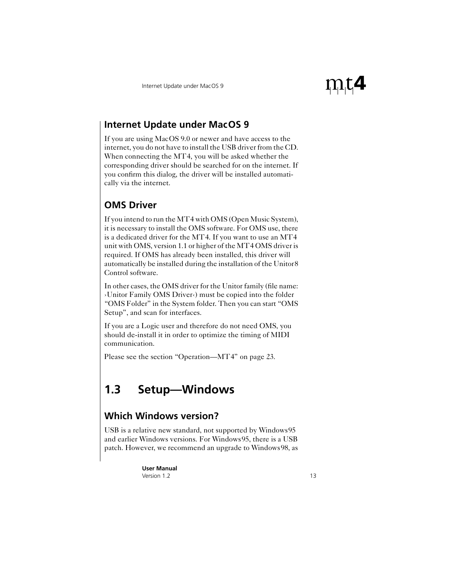# <span id="page-12-7"></span><span id="page-12-6"></span><span id="page-12-4"></span><span id="page-12-0"></span>**Internet Update under MacOS 9**

If you are using MacOS 9.0 or newer and have access to the internet, you do not have to install the USB driver from the CD. When connecting the MT4, you will be asked whether the corresponding driver should be searched for on the internet. If you confirm this dialog, the driver will be installed automatically via the internet.

# <span id="page-12-1"></span>**OMS Driver**

<span id="page-12-5"></span>If you intend to run the MT4 with OMS (Open Music System), it is necessary to install the OMS software. For OMS use, there is a dedicated driver for the MT4. If you want to use an MT4 unit with OMS, version 1.1 or higher of the MT4 OMS driver is required. If OMS has already been installed, this driver will automatically be installed during the installation of the Unitor8 Control software.

In other cases, the OMS driver for the Unitor family (file name: ›Unitor Family OMS Driver‹) must be copied into the folder "OMS Folder" in the System folder. Then you can start "OMS Setup", and scan for interfaces.

If you are a Logic user and therefore do not need OMS, you should de-install it in order to optimize the timing of MIDI communication.

Please see the [section "Operation—MT4" on page 23.](#page-22-0)

# <span id="page-12-2"></span>**1.3 Setup—Windows**

# <span id="page-12-3"></span>**Which Windows version?**

USB is a relative new standard, not supported by Windows95 and earlier Windows versions. For Windows95, there is a USB patch. However, we recommend an upgrade to Windows98, as

> **User Manual** Version 1.2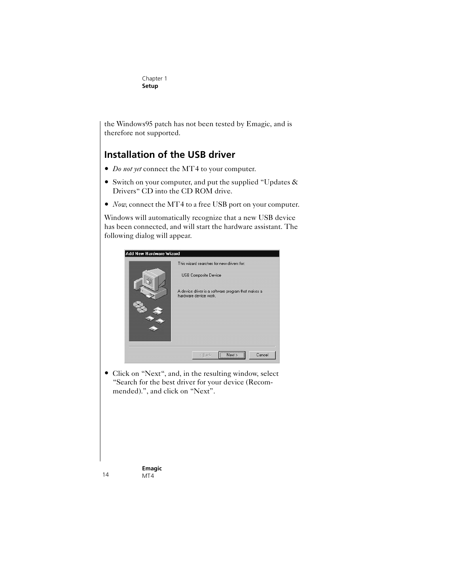the Windows95 patch has not been tested by Emagic, and is therefore not supported.

# <span id="page-13-0"></span>**Installation of the USB driver**

- *Do not yet* connect the MT4 to your computer.
- Switch on your computer, and put the supplied "Updates & Drivers" CD into the CD ROM drive.
- *Now*, connect the MT4 to a free USB port on your computer.

Windows will automatically recognize that a new USB device has been connected, and will start the hardware assistant. The following dialog will appear.



• Click on "Next", and, in the resulting window, select "Search for the best driver for your device (Recommended).", and click on "Next".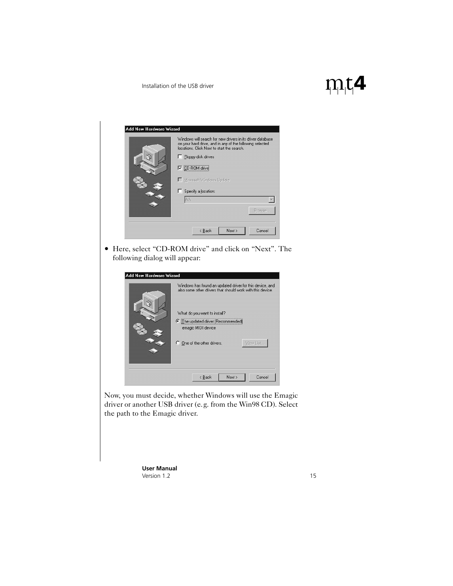|                               | Windows will search for new drivers in its driver database<br>on your hard drive, and in any of the following selected<br>locations. Click Next to start the search<br>Floppy disk drives<br>. .<br><b>V</b> CD-ROM drive<br>Microsoft Windows Update<br>Specify a location:<br>п<br>AN<br>Browse |
|-------------------------------|---------------------------------------------------------------------------------------------------------------------------------------------------------------------------------------------------------------------------------------------------------------------------------------------------|
|                               |                                                                                                                                                                                                                                                                                                   |
|                               | < Back<br>Cancel<br>Next >                                                                                                                                                                                                                                                                        |
|                               |                                                                                                                                                                                                                                                                                                   |
| following dialog will appear: | Here, select "CD-ROM drive" and click on "Next". The                                                                                                                                                                                                                                              |
| Add New Hardware Wizard       |                                                                                                                                                                                                                                                                                                   |

Now, you must decide, whether Windows will use the Emagic driver or another USB driver (e.g. from the Win98 CD). Select the path to the Emagic driver.

 $\leq \underline{\mathsf{Back}}$ 

**C** The updated driver (Recommended) emagic MIDI device

View List...

Cancel

 $Next$ 

C One of the other drivers.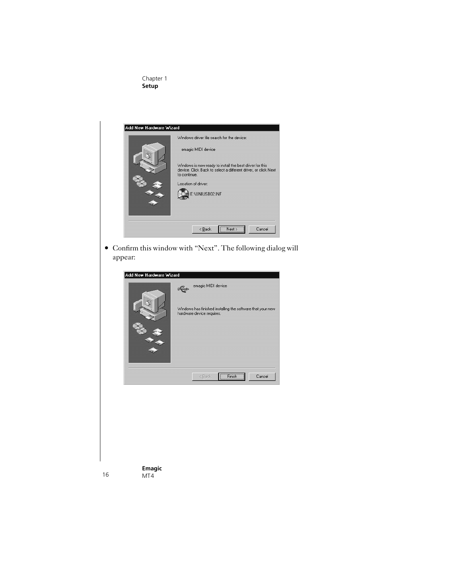#### Chapter 1 **Setup**



• Confirm this window with "Next". The following dialog will appear:

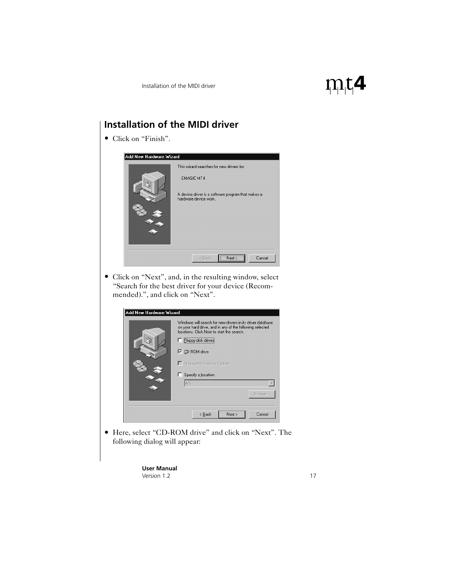# <span id="page-16-0"></span>**Installation of the MIDI driver** • Click on "Finish". Add New Hardware Wizard This wizard searches for new drivers for: **FMAGIC MT4** A device driver is a software program that makes a hardware device work.  $\prec$  Back  $Next$ Cancel • Click on "Next", and, in the resulting window, select "Search for the best driver for your device (Recommended).", and click on "Next". Add New Hardware Wizard Windows will search for new drivers in its driver database<br>on your hard drive, and in any of the following selected locations. Click Next to start the search. F Floppy disk drives **▽** CD-ROM drive Microsoft Windows Update Specify a location: AV.  $\vert \mathbf{v} \vert$ Browse.  $\angle$  Back  $Next$ Cancel • Here, select "CD-ROM drive" and click on "Next". The following dialog will appear:

**User Manual** Version 1.2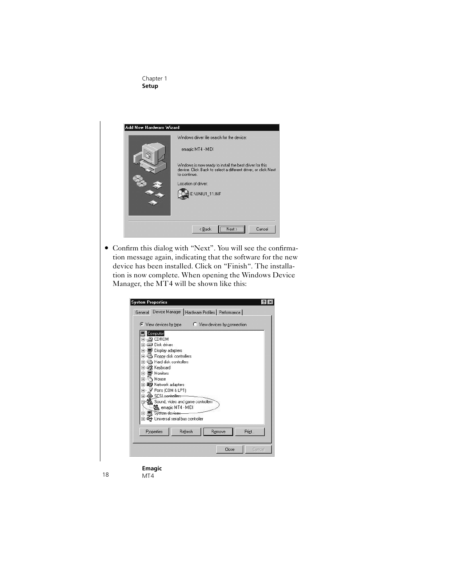#### Chapter 1 **Setup**



• Confirm this dialog with "Next". You will see the confirmation message again, indicating that the software for the new device has been installed. Click on "Finish". The installation is now complete. When opening the Windows Device Manager, the MT4 will be shown like this:

| General                                                                            |                                   | Device Manager   Hardware Profiles   Performance |       |
|------------------------------------------------------------------------------------|-----------------------------------|--------------------------------------------------|-------|
| $\bullet$ View devices by type                                                     |                                   | C View devices by connection                     |       |
| Computer<br>$\mathfrak{D}$ CDROM<br>$\overline{+}$<br>Disk drives                  |                                   |                                                  |       |
| Display adapters<br>$\overline{+}$<br>$\overline{+}$<br>Hard disk controllers      | Floppy disk controllers           |                                                  |       |
| $\overline{+}$<br>Keyboard<br>$\overline{+}$<br>Monitors<br>$+$                    |                                   |                                                  |       |
| Mouse<br>$\overline{+}$<br>Network adapters<br>Ports (COM & LPT)<br>$\overline{+}$ |                                   |                                                  |       |
| <b>SCSL</b> sentrollers                                                            | Sound, video and game controllers |                                                  |       |
| E System devices<br>मे <b>ं स्ट्रि</b> Universal serial bus controller             | 90 emagic MT4 - MIDI              |                                                  |       |
| Properties                                                                         | Refresh                           | Remove                                           | Print |
|                                                                                    |                                   |                                                  |       |

#### **Emagic** 18 MT4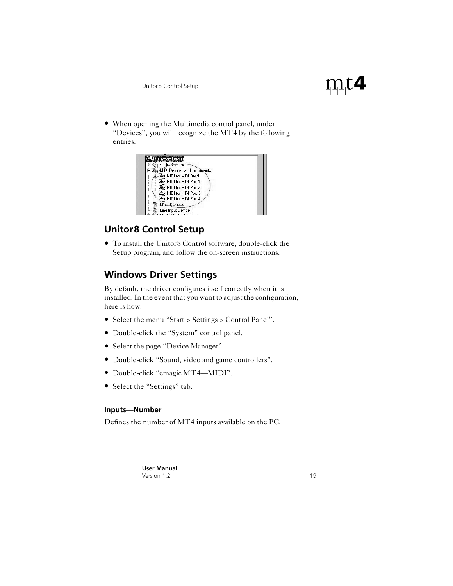When opening the Multimedia control panel, under "Devices", you will recognize the MT4 by the following entries:

<span id="page-18-2"></span>

# <span id="page-18-0"></span>**Unitor8 Control Setup**

• To install the Unitor8 Control software, double-click the Setup program, and follow the on-screen instructions.

# <span id="page-18-1"></span>**Windows Driver Settings**

By default, the driver configures itself correctly when it is installed. In the event that you want to adjust the configuration, here is how:

- Select the menu "Start > Settings > Control Panel".
- Double-click the "System" control panel.
- Select the page "Device Manager".
- Double-click "Sound, video and game controllers".
- Double-click "emagic MT4—MIDI".
- Select the "Settings" tab.

#### **Inputs—Number**

Defines the number of MT4 inputs available on the PC.

 $\rm m$ t4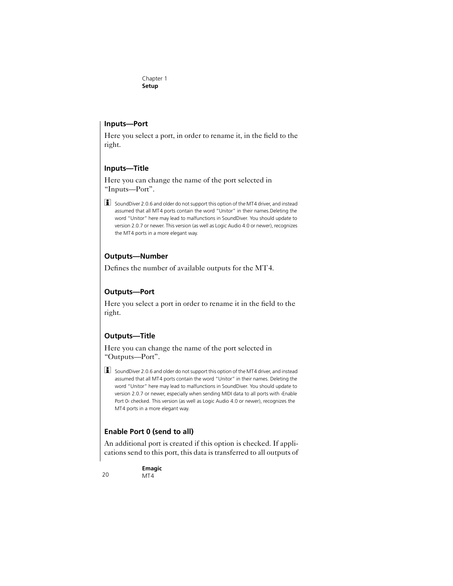#### <span id="page-19-1"></span><span id="page-19-0"></span>**Inputs—Port**

Here you select a port, in order to rename it, in the field to the right.

#### **Inputs—Title**

Here you can change the name of the port selected in "Inputs—Port".

SoundDiver 2.0.6 and older do not support this option of the MT4 driver, and instead assumed that all MT4 ports contain the word "Unitor" in their names.Deleting the word "Unitor" here may lead to malfunctions in SoundDiver. You should update to version 2.0.7 or newer. This version (as well as Logic Audio 4.0 or newer), recognizes the MT4 ports in a more elegant way.

#### **Outputs—Number**

Defines the number of available outputs for the MT4.

### **Outputs—Port**

Here you select a port in order to rename it in the field to the right.

#### **Outputs—Title**

Here you can change the name of the port selected in "Outputs—Port".

 $\Box$  SoundDiver 2.0.6 and older do not support this option of the MT4 driver, and instead assumed that all MT4 ports contain the word "Unitor" in their names. Deleting the word "Unitor" here may lead to malfunctions in SoundDiver. You should update to version 2.0.7 or newer, especially when sending MIDI data to all ports with ›Enable Port 0‹ checked. This version (as well as Logic Audio 4.0 or newer), recognizes the MT4 ports in a more elegant way.

### **Enable Port 0 (send to all)**

An additional port is created if this option is checked. If applications send to this port, this data is transferred to all outputs of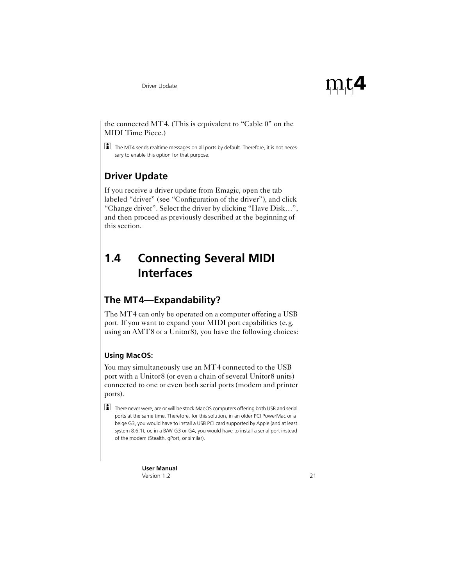

#### <span id="page-20-3"></span>the connected MT4. (This is equivalent to "Cable 0" on the MIDI Time Piece.)

 $\Box$  The MT4 sends realtime messages on all ports by default. Therefore, it is not necessary to enable this option for that purpose.

# <span id="page-20-0"></span>**Driver Update**

If you receive a driver update from Emagic, open the tab labeled "driver" (see "Configuration of the driver"), and click "Change driver". Select the driver by clicking "Have Disk…", and then proceed as previously described at the beginning of this section.

# <span id="page-20-1"></span>**1.4 Connecting Several MIDI Interfaces**

# <span id="page-20-2"></span>**The MT4—Expandability?**

The MT4 can only be operated on a computer offering a USB port. If you want to expand your MIDI port capabilities (e.g. using an AMT8 or a Unitor8), you have the following choices:

### **Using MacOS:**

You may simultaneously use an MT4 connected to the USB port with a Unitor8 (or even a chain of several Unitor8 units) connected to one or even both serial ports (modem and printer ports).

 $\Box$  There never were, are or will be stock MacOS computers offering both USB and serial ports at the same time. Therefore, for this solution, in an older PCI PowerMac or a beige G3, you would have to install a USB PCI card supported by Apple (and at least system 8.6.1), or, in a B/W-G3 or G4, you would have to install a serial port instead of the modem (Stealth, gPort, or similar).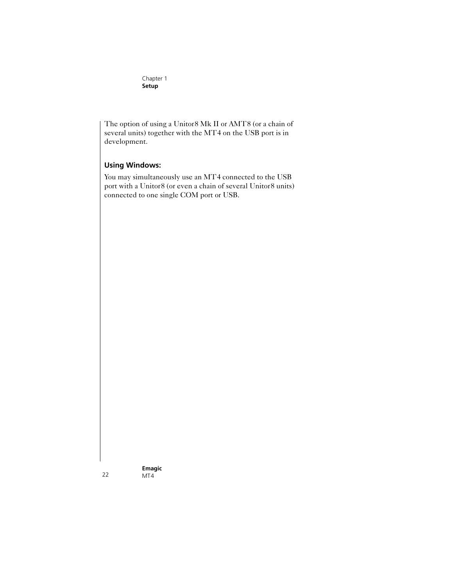Chapter 1 **Setup**

The option of using a Unitor8 Mk II or AMT8 (or a chain of several units) together with the MT4 on the USB port is in development.

#### **Using Windows:**

You may simultaneously use an MT4 connected to the USB port with a Unitor8 (or even a chain of several Unitor8 units) connected to one single COM port or USB.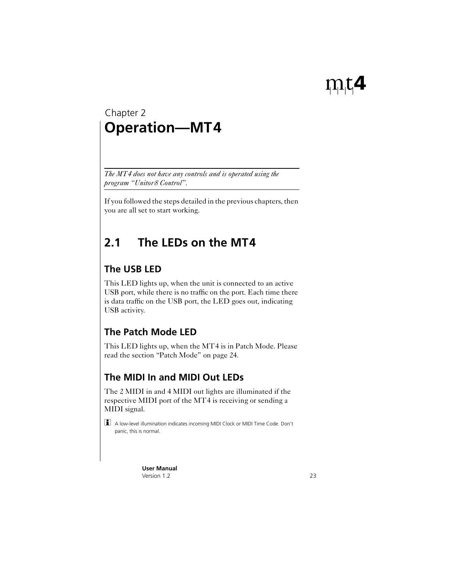# <span id="page-22-0"></span>**Operation—MT4** Chapter 2

*The MT4 does not have any controls and is operated using the program "Unitor8 Control".*

If you followed the steps detailed in the previous chapters, then you are all set to start working.

# <span id="page-22-1"></span>**2.1 The LEDs on the MT4**

# <span id="page-22-2"></span>**The USB LED**

This LED lights up, when the unit is connected to an active USB port, while there is no traffic on the port. Each time there is data traffic on the USB port, the LED goes out, indicating USB activity.

# <span id="page-22-3"></span>**The Patch Mode LED**

This LED lights up, when the MT4 is in Patch Mode. Please read the [section "Patch Mode" on page 24](#page-23-0).

# <span id="page-22-4"></span>**The MIDI In and MIDI Out LEDs**

The 2 MIDI in and 4 MIDI out lights are illuminated if the respective MIDI port of the MT4 is receiving or sending a MIDI signal.

A low-level illumination indicates incoming MIDI Clock or MIDI Time Code. Don't panic, this is normal.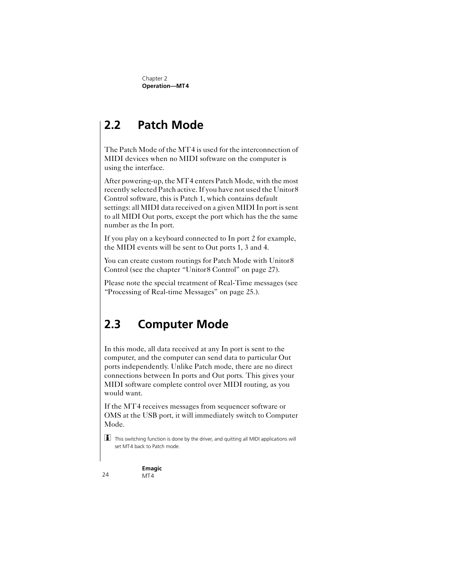# <span id="page-23-4"></span><span id="page-23-0"></span>**2.2 Patch Mode**

The Patch Mode of the MT4 is used for the interconnection of MIDI devices when no MIDI software on the computer is using the interface.

After powering-up, the MT4 enters Patch Mode, with the most recently selected Patch active. If you have not used the Unitor8 Control software, this is Patch 1, which contains default settings: all MIDI data received on a given MIDI In port is sent to all MIDI Out ports, except the port which has the the same number as the In port.

<span id="page-23-2"></span>If you play on a keyboard connected to In port 2 for example, the MIDI events will be sent to Out ports 1, 3 and 4.

You can create custom routings for Patch Mode with Unitor8 Control (see the [chapter "Unitor8 Control" on page 27](#page-26-0)).

Please note the special treatment of Real-Time messages [\(see](#page-24-1)  ["Processing of Real-time Messages" on page 25.](#page-24-1)).

# <span id="page-23-3"></span><span id="page-23-1"></span>**2.3 Computer Mode**

In this mode, all data received at any In port is sent to the computer, and the computer can send data to particular Out ports independently. Unlike Patch mode, there are no direct connections between In ports and Out ports. This gives your MIDI software complete control over MIDI routing, as you would want.

If the MT4 receives messages from sequencer software or OMS at the USB port, it will immediately switch to Computer Mode.

This switching function is done by the driver, and quitting all MIDI applications will set MT4 back to Patch mode.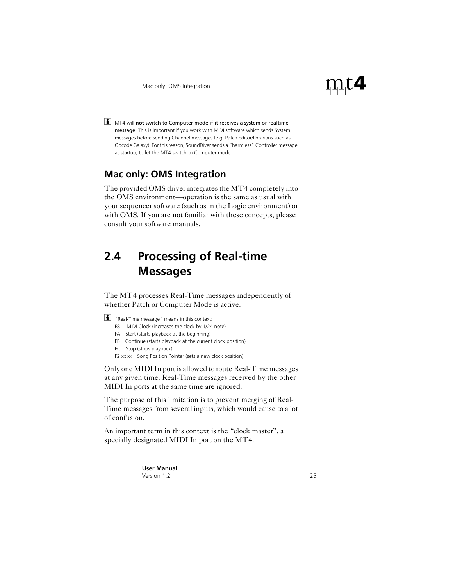<span id="page-24-8"></span><span id="page-24-4"></span>**1** MT4 will not switch to Computer mode if it receives a system or realtime message. This is important if you work with MIDI software which sends System messages before sending Channel messages (e.g. Patch editor/librarians such as Opcode Galaxy). For this reason, SoundDiver sends a "harmless" Controller message at startup, to let the MT4 switch to Computer mode.

# <span id="page-24-6"></span><span id="page-24-0"></span>**Mac only: OMS Integration**

The provided OMS driver integrates the MT4 completely into the OMS environment—operation is the same as usual with your sequencer software (such as in the Logic environment) or with OMS. If you are not familiar with these concepts, please consult your software manuals.

# <span id="page-24-10"></span><span id="page-24-9"></span><span id="page-24-7"></span><span id="page-24-5"></span><span id="page-24-3"></span><span id="page-24-1"></span>**2.4 Processing of Real-time Messages**

The MT4 processes Real-Time messages independently of whether Patch or Computer Mode is active.

 $\boxed{\blacksquare}$  "Real-Time message" means in this context:

- <span id="page-24-2"></span>F8 MIDI Clock (increases the clock by 1/24 note)
- FA Start (starts playback at the beginning)
- FB Continue (starts playback at the current clock position)
- FC Stop (stops playback)

F2 xx xx Song Position Pointer (sets a new clock position)

Only one MIDI In port is allowed to route Real-Time messages at any given time. Real-Time messages received by the other MIDI In ports at the same time are ignored.

The purpose of this limitation is to prevent merging of Real-Time messages from several inputs, which would cause to a lot of confusion.

An important term in this context is the "clock master", a specially designated MIDI In port on the MT4.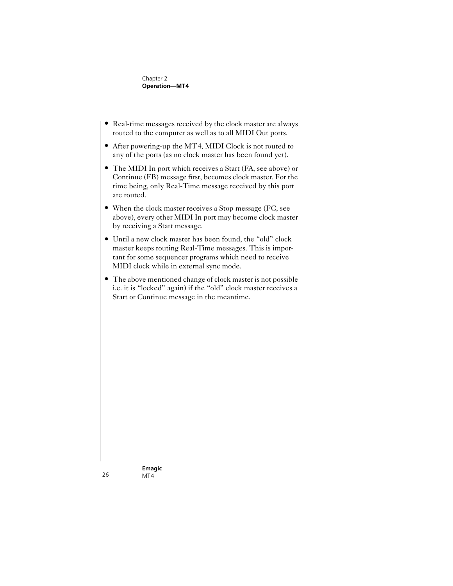Chapter 2 **Operation—MT4**

- Real-time messages received by the clock master are always routed to the computer as well as to all MIDI Out ports.
- After powering-up the MT4, MIDI Clock is not routed to any of the ports (as no clock master has been found yet).
- The MIDI In port which receives a Start (FA, see above) or Continue (FB) message first, becomes clock master. For the time being, only Real-Time message received by this port are routed.
- When the clock master receives a Stop message (FC, see above), every other MIDI In port may become clock master by receiving a Start message.
- Until a new clock master has been found, the "old" clock master keeps routing Real-Time messages. This is important for some sequencer programs which need to receive MIDI clock while in external sync mode.
- The above mentioned change of clock master is not possible i.e. it is "locked" again) if the "old" clock master receives a Start or Continue message in the meantime.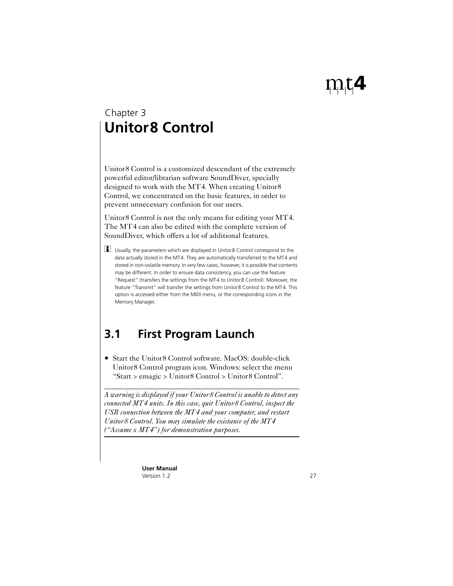# <span id="page-26-3"></span><span id="page-26-0"></span>**Unitor8 Control** Chapter 3

<span id="page-26-4"></span><span id="page-26-2"></span>Unitor8 Control is a customized descendant of the extremely powerful editor/librarian software SoundDiver, specially designed to work with the MT4. When creating Unitor8 Control, we concentrated on the basic features, in order to prevent unnecessary confusion for our users.

Unitor8 Control is not the only means for editing your MT4. The MT4 can also be edited with the complete version of SoundDiver, which offers a lot of additional features.

 $\boxed{\mathbf{1}}$  Usually, the parameters which are displayed in Unitor8 Control correspond to the data actually stored in the MT4. They are automatically transferred to the MT4 and stored in non-volatile memory. In very few cases, however, it is possible that contents may be different. In order to ensure data consistency, you can use the feature "Request" (transfers the settings from the MT4 to Unitor8 Control). Moreover, the feature "Transmit" will transfer the settings from Unitor8 Control to the MT4. This option is accessed either from the MIDI menu, or the corresponding icons in the Memory Manager.

# <span id="page-26-1"></span>**3.1 First Program Launch**

• Start the Unitor<sub>8</sub> Control software. MacOS: double-click Unitor8 Control program icon. Windows: select the menu "Start > emagic > Unitor8 Control > Unitor8 Control".

*A warning is displayed if your Unitor8 Control is unable to detect any connected MT4 units. In this case, quit Unitor8 Control, inspect the USB connection between the MT4 and your computer, and restart Unitor8 Control. You may simulate the existance of the MT4 ("Assume x MT4") for demonstration purposes.*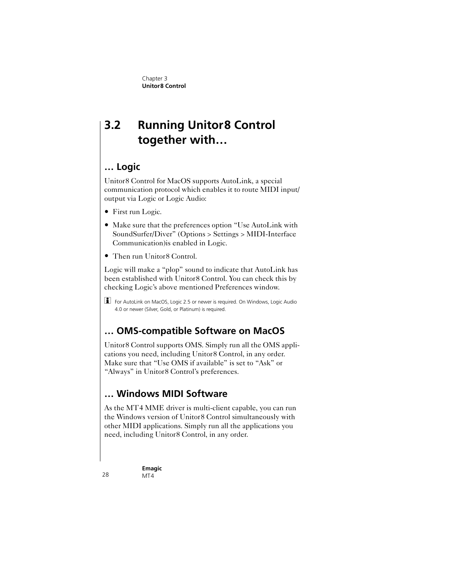# <span id="page-27-0"></span>**3.2 Running Unitor8 Control together with…**

# <span id="page-27-1"></span>**… Logic**

Unitor8 Control for MacOS supports AutoLink, a special communication protocol which enables it to route MIDI input/ output via Logic or Logic Audio:

- First run Logic.
- Make sure that the preferences option "Use AutoLink with SoundSurfer/Diver" (Options > Settings > MIDI-Interface Communication)is enabled in Logic.
- Then run Unitor<sub>8</sub> Control.

Logic will make a "plop" sound to indicate that AutoLink has been established with Unitor8 Control. You can check this by checking Logic's above mentioned Preferences window.

**i** For AutoLink on MacOS, Logic 2.5 or newer is required. On Windows, Logic Audio 4.0 or newer (Silver, Gold, or Platinum) is required.

# <span id="page-27-2"></span>**… OMS-compatible Software on MacOS**

Unitor8 Control supports OMS. Simply run all the OMS applications you need, including Unitor8 Control, in any order. Make sure that "Use OMS if available" is set to "Ask" or "Always" in Unitor8 Control's preferences.

# <span id="page-27-3"></span>**… Windows MIDI Software**

As the MT4 MME driver is multi-client capable, you can run the Windows version of Unitor8 Control simultaneously with other MIDI applications. Simply run all the applications you need, including Unitor8 Control, in any order.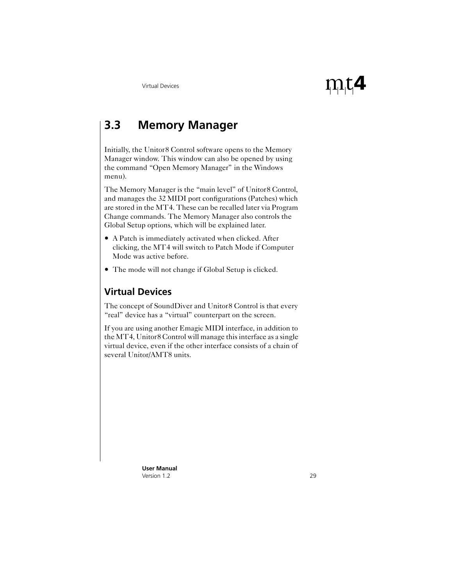# <span id="page-28-4"></span><span id="page-28-3"></span><span id="page-28-2"></span><span id="page-28-0"></span>**3.3 Memory Manager**

<span id="page-28-5"></span>Initially, the Unitor8 Control software opens to the Memory Manager window. This window can also be opened by using the command "Open Memory Manager" in the Windows menu).

The Memory Manager is the "main level" of Unitor8 Control, and manages the 32 MIDI port configurations (Patches) which are stored in the MT4. These can be recalled later via Program Change commands. The Memory Manager also controls the Global Setup options, which will be explained later.

- A Patch is immediately activated when clicked. After clicking, the MT4 will switch to Patch Mode if Computer Mode was active before.
- The mode will not change if Global Setup is clicked.

# <span id="page-28-1"></span>**Virtual Devices**

The concept of SoundDiver and Unitor8 Control is that every "real" device has a "virtual" counterpart on the screen.

If you are using another Emagic MIDI interface, in addition to the MT4, Unitor8 Control will manage this interface as a single virtual device, even if the other interface consists of a chain of several Unitor/AMT8 units.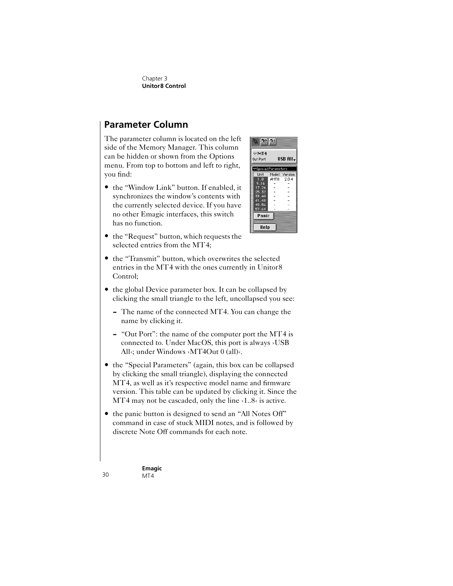# <span id="page-29-2"></span><span id="page-29-0"></span>**Parameter Column**

The parameter column is located on the left side of the Memory Manager. This column can be hidden or shown from the Options menu. From top to bottom and left to right, you find:

• the "Window Link" button. If enabled, it synchronizes the window's contents with the currently selected device. If you have no other Emagic interfaces, this switch has no function.



- the "Request" button, which requests the selected entries from the MT4;
- the "Transmit" button, which overwrites the selected entries in the MT4 with the ones currently in Unitor8 Control;
- <span id="page-29-1"></span>• the global Device parameter box. It can be collapsed by clicking the small triangle to the left, uncollapsed you see:
	- The name of the connected MT4. You can change the name by clicking it.
	- "Out Port": the name of the computer port the MT4 is connected to. Under MacOS, this port is always ›USB All<br/> $\epsilon$  under Windows >MT4Out 0 (all) $\epsilon$ .
- the "Special Parameters" (again, this box can be collapsed by clicking the small triangle), displaying the connected MT4, as well as it's respective model name and firmware version. This table can be updated by clicking it. Since the MT4 may not be cascaded, only the line >1..8< is active.
- the panic button is designed to send an "All Notes Off" command in case of stuck MIDI notes, and is followed by discrete Note Off commands for each note.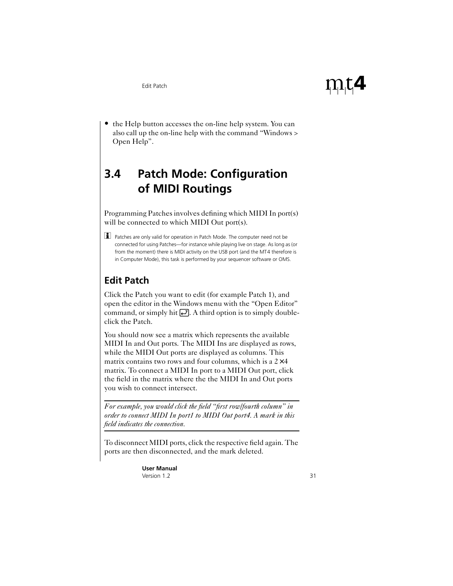<span id="page-30-5"></span><span id="page-30-3"></span>• the Help button accesses the on-line help system. You can also call up the on-line help with the command "Windows > Open Help".

# <span id="page-30-4"></span><span id="page-30-0"></span>**3.4 Patch Mode: Configuration of MIDI Routings**

Programming Patches involves defining which MIDI In port(s) will be connected to which MIDI Out port(s).

**1** Patches are only valid for operation in Patch Mode. The computer need not be connected for using Patches—for instance while playing live on stage. As long as (or from the moment) there is MIDI activity on the USB port (and the MT4 therefore is in Computer Mode), this task is performed by your sequencer software or OMS.

# <span id="page-30-2"></span><span id="page-30-1"></span>**Edit Patch**

Click the Patch you want to edit (for example Patch 1), and open the editor in the Windows menu with the "Open Editor" command, or simply hit  $\Box$ . A third option is to simply doubleclick the Patch.

You should now see a matrix which represents the available MIDI In and Out ports. The MIDI Ins are displayed as rows, while the MIDI Out ports are displayed as columns. This matrix contains two rows and four columns, which is a  $2\times4$ matrix. To connect a MIDI In port to a MIDI Out port, click the field in the matrix where the the MIDI In and Out ports you wish to connect intersect.

*For example, you would click the field "first row/fourth column" in order to connect MIDI In port1 to MIDI Out port4. A mark in this field indicates the connection.*

To disconnect MIDI ports, click the respective field again. The ports are then disconnected, and the mark deleted.

> **User Manual** Version 1.2

 $\rm m$ t4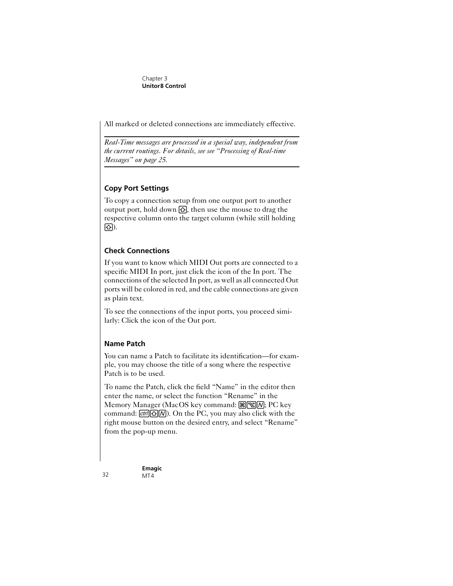<span id="page-31-0"></span>All marked or deleted connections are immediately effective.

*Real-Time messages are processed in a special way, independent from the current routings. For details, see [see "Processing of Real-time](#page-24-1)  [Messages" on page 25.](#page-24-1)*

### **Copy Port Settings**

To copy a connection setup from one output port to another output port, hold down  $\Omega$ , then use the mouse to drag the respective column onto the target column (while still holding S).

### <span id="page-31-1"></span>**Check Connections**

If you want to know which MIDI Out ports are connected to a specific MIDI In port, just click the icon of the In port. The connections of the selected In port, as well as all connected Out ports will be colored in red, and the cable connections are given as plain text.

To see the connections of the input ports, you proceed similarly: Click the icon of the Out port.

### **Name Patch**

You can name a Patch to facilitate its identification—for example, you may choose the title of a song where the respective Patch is to be used.

To name the Patch, click the field "Name" in the editor then enter the name, or select the function "Rename" in the Memory Manager (MacOS key command:  $\mathbb{R}\mathbb{R}\mathbb{N}$ ; PC key command:  $\boxed{\text{ctr}}$   $\boxed{\Omega}$   $\boxed{\Omega}$ . On the PC, you may also click with the right mouse button on the desired entry, and select "Rename" from the pop-up menu.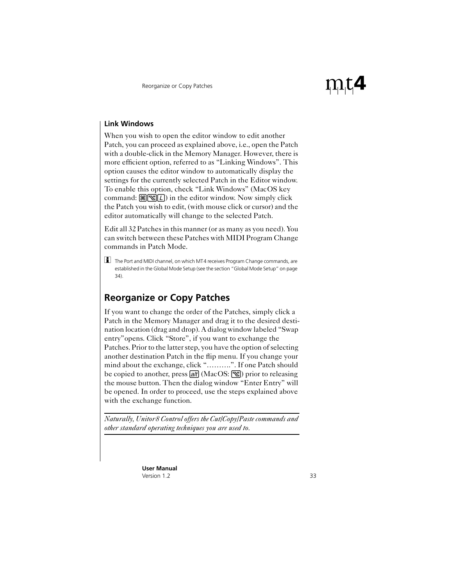#### <span id="page-32-2"></span>**Link Windows**

When you wish to open the editor window to edit another Patch, you can proceed as explained above, i.e., open the Patch with a double-click in the Memory Manager. However, there is more efficient option, referred to as "Linking Windows". This option causes the editor window to automatically display the settings for the currently selected Patch in the Editor window. To enable this option, check "Link Windows" (MacOS key command:  $\mathbb{R}[\mathbb{R}[L])$  in the editor window. Now simply click the Patch you wish to edit, (with mouse click or cursor) and the editor automatically will change to the selected Patch.

<span id="page-32-1"></span>Edit all 32 Patches in this manner (or as many as you need). You can switch between these Patches with MIDI Program Change commands in Patch Mode.

The Port and MIDI channel, on which MT4 receives Program Change commands, are established in the Global Mode Setup (see the [section "Global Mode Setup" on page](#page-33-0)  [34](#page-33-0)).

# <span id="page-32-0"></span>**Reorganize or Copy Patches**

If you want to change the order of the Patches, simply click a Patch in the Memory Manager and drag it to the desired destination location (drag and drop). A dialog window labeled "Swap entry"opens. Click "Store", if you want to exchange the Patches. Prior to the latter step, you have the option of selecting another destination Patch in the flip menu. If you change your mind about the exchange, click "……….". If one Patch should be copied to another, press  $[$ alt $]$  (MacOS:  $[$ <del>N</del> $]$ ) prior to releasing the mouse button. Then the dialog window "Enter Entry" will be opened. In order to proceed, use the steps explained above with the exchange function.

*Naturally, Unitor8 Control offers the Cut/Copy/Paste commands and other standard operating techniques you are used to.*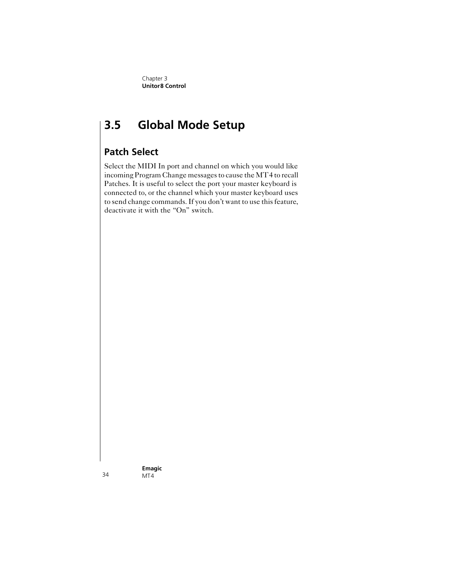# <span id="page-33-4"></span><span id="page-33-3"></span><span id="page-33-2"></span><span id="page-33-0"></span>**3.5 Global Mode Setup**

# <span id="page-33-1"></span>**Patch Select**

Select the MIDI In port and channel on which you would like incoming Program Change messages to cause the MT4 to recall Patches. It is useful to select the port your master keyboard is connected to, or the channel which your master keyboard uses to send change commands. If you don't want to use this feature, deactivate it with the "On" switch.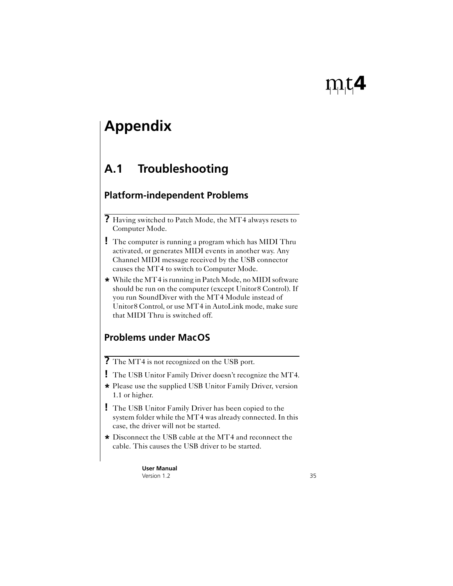# <span id="page-34-0"></span>**Appendix**

# <span id="page-34-1"></span>**A.1 Troubleshooting**

# <span id="page-34-2"></span>**Platform-independent Problems**

- **?** Having switched to Patch Mode, the MT4 always resets to Computer Mode.
- <span id="page-34-4"></span>**!** The computer is running a program which has MIDI Thru activated, or generates MIDI events in another way. Any Channel MIDI message received by the USB connector causes the MT4 to switch to Computer Mode.
- **\*** While the MT4 is running in Patch Mode, no MIDI software should be run on the computer (except Unitor8 Control). If you run SoundDiver with the MT4 Module instead of Unitor8 Control, or use MT4 in AutoLink mode, make sure that MIDI Thru is switched off.

# <span id="page-34-3"></span>**Problems under MacOS**

- **?** The MT4 is not recognized on the USB port.
- **!** The USB Unitor Family Driver doesn't recognize the MT4.
- **\*** Please use the supplied USB Unitor Family Driver, version 1.1 or higher.
- **!** The USB Unitor Family Driver has been copied to the system folder while the MT4 was already connected. In this case, the driver will not be started.
- **\*** Disconnect the USB cable at the MT4 and reconnect the cable. This causes the USB driver to be started.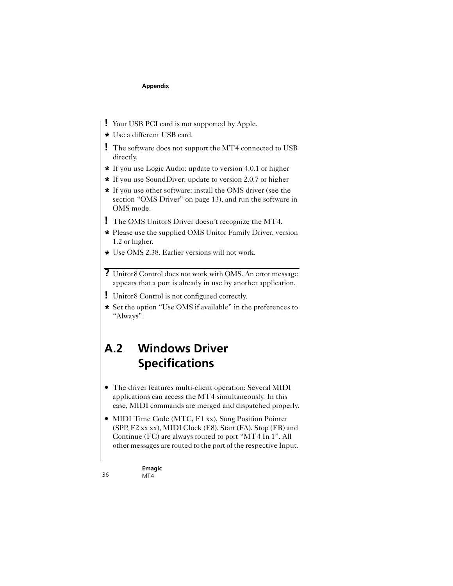- <span id="page-35-4"></span><span id="page-35-3"></span><span id="page-35-1"></span>**!** Your USB PCI card is not supported by Apple.
- **\*** Use a different USB card.
- **!** The software does not support the MT4 connected to USB directly.
- <span id="page-35-2"></span>**\*** If you use Logic Audio: update to version 4.0.1 or higher
- **\*** If you use SoundDiver: update to version 2.0.7 or higher
- **\*** If you use other software: install the OMS driver (see the [section "OMS Driver" on page 13](#page-12-4)), and run the software in OMS mode.
- **!** The OMS Unitor8 Driver doesn't recognize the MT4.
- **\*** Please use the supplied OMS Unitor Family Driver, version 1.2 or higher.
- **\*** Use OMS 2.38. Earlier versions will not work.
- **?** Unitor8 Control does not work with OMS. An error message appears that a port is already in use by another application.
- **!** Unitor8 Control is not configured correctly.
- **\*** Set the option "Use OMS if available" in the preferences to "Always".

# <span id="page-35-0"></span>**A.2 Windows Driver Specifications**

- The driver features multi-client operation: Several MIDI applications can access the MT4 simultaneously. In this case, MIDI commands are merged and dispatched properly.
- MIDI Time Code (MTC, F1 xx), Song Position Pointer (SPP, F2 xx xx), MIDI Clock (F8), Start (FA), Stop (FB) and Continue (FC) are always routed to port "MT4 In 1". All other messages are routed to the port of the respective Input.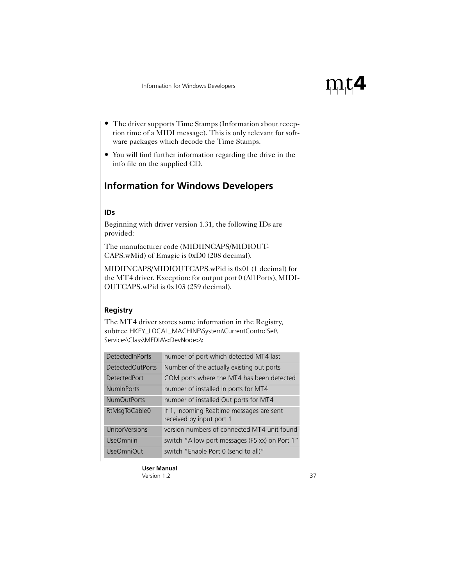- The driver supports Time Stamps (Information about reception time of a MIDI message). This is only relevant for software packages which decode the Time Stamps.
- You will find further information regarding the drive in the info file on the supplied CD.

# <span id="page-36-0"></span>**Information for Windows Developers**

#### **IDs**

Beginning with driver version 1.31, the following IDs are provided:

The manufacturer code (MIDIINCAPS/MIDIOUT-CAPS.wMid) of Emagic is 0xD0 (208 decimal).

MIDIINCAPS/MIDIOUTCAPS.wPid is 0x01 (1 decimal) for the MT4 driver. Exception: for output port 0 (All Ports), MIDI-OUTCAPS.wPid is 0x103 (259 decimal).

### **Registry**

The MT4 driver stores some information in the Registry, subtree HKEY\_LOCAL\_MACHINE\System\CurrentControlSet\ Services\Class\MEDIA\<DevNode>\:

| <b>DetectedInPorts</b> | number of port which detected MT4 last                                |
|------------------------|-----------------------------------------------------------------------|
| DetectedOutPorts       | Number of the actually existing out ports                             |
| <b>DetectedPort</b>    | COM ports where the MT4 has been detected                             |
| <b>NumInPorts</b>      | number of installed In ports for MT4                                  |
| <b>NumOutPorts</b>     | number of installed Out ports for MT4                                 |
| RtMsgToCable0          | if 1, incoming Realtime messages are sent<br>received by input port 1 |
| UnitorVersions         | version numbers of connected MT4 unit found                           |
| <b>UseOmniln</b>       | switch "Allow port messages (F5 xx) on Port 1"                        |
| <b>UseOmniOut</b>      | switch "Enable Port 0 (send to all)"                                  |

 $\rm m$ t4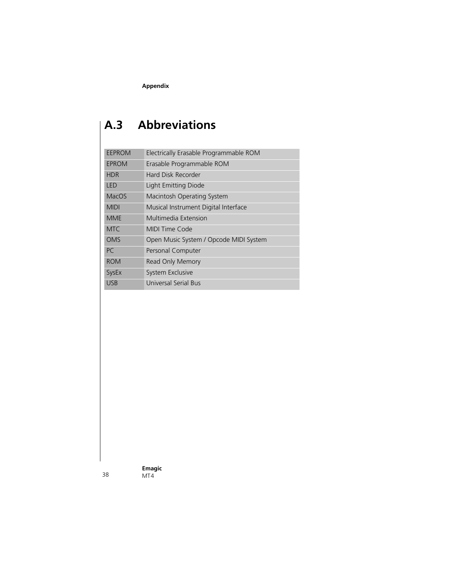<span id="page-37-4"></span><span id="page-37-3"></span><span id="page-37-2"></span><span id="page-37-1"></span>**Appendix**

# <span id="page-37-9"></span><span id="page-37-8"></span><span id="page-37-7"></span><span id="page-37-6"></span><span id="page-37-5"></span><span id="page-37-0"></span>**A.3 Abbreviations**

<span id="page-37-13"></span><span id="page-37-12"></span><span id="page-37-11"></span><span id="page-37-10"></span>

| <b>EEPROM</b> | Electrically Erasable Programmable ROM |
|---------------|----------------------------------------|
| EPROM         | Erasable Programmable ROM              |
| <b>HDR</b>    | Hard Disk Recorder                     |
| I FD          | Light Emitting Diode                   |
| <b>MacOS</b>  | Macintosh Operating System             |
| <b>MIDI</b>   | Musical Instrument Digital Interface   |
| <b>MMF</b>    | Multimedia Extension                   |
| <b>MTC</b>    | MIDI Time Code                         |
| <b>OMS</b>    | Open Music System / Opcode MIDI System |
| PC.           | Personal Computer                      |
| <b>ROM</b>    | Read Only Memory                       |
| SysEx         | System Exclusive                       |
| <b>USB</b>    | Universal Serial Bus                   |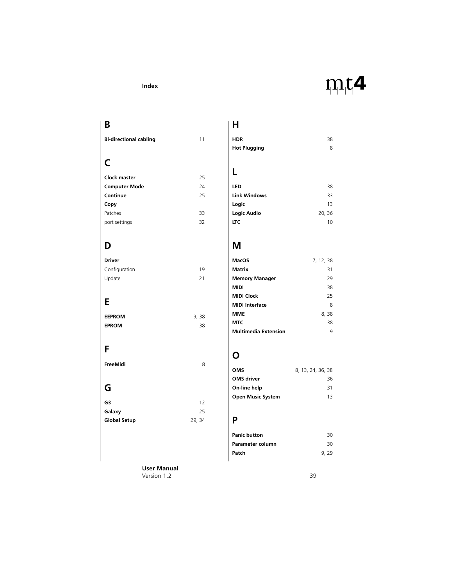#### **Index**

# $\rm m$ t4

# <span id="page-38-0"></span>**B**

| <b>Bi-directional cabling</b> |  | 11 |
|-------------------------------|--|----|
|-------------------------------|--|----|

# **C**

| Clock master         | 25 |
|----------------------|----|
| <b>Computer Mode</b> |    |
| Continue             |    |
| Copy                 |    |
| Patches              | 33 |
| port settings        | 32 |

# **D**

| <b>Driver</b> |    |
|---------------|----|
| Configuration | 19 |
| Update        | 21 |

# **E**

| <b>EEPROM</b> | 9, 38 |
|---------------|-------|
| <b>EPROM</b>  | 38    |

### **F**

**FreeMidi** [8](#page-7-1)

# **G**

| G3                  | 12     |
|---------------------|--------|
| Galaxy              | 25     |
| <b>Global Setup</b> | 29, 34 |

### **H**

| <b>HDR</b>          | 38 |
|---------------------|----|
| <b>Hot Plugging</b> | 8  |

# **L**

| LED                 | 38     |
|---------------------|--------|
| <b>Link Windows</b> | 33     |
| Logic               | 13     |
| Logic Audio         | 20, 36 |
| <b>LTC</b>          | 10     |

# **M**

| MacOS                       | 7, 12, 38 |
|-----------------------------|-----------|
| Matrix                      | 31        |
| <b>Memory Manager</b>       | 29        |
| MIDI                        | 38        |
| <b>MIDI Clock</b>           | 25        |
| <b>MIDI</b> Interface       | 8         |
| MMF                         | 8, 38     |
| MTC                         | 38        |
| <b>Multimedia Extension</b> | q         |

# **O**

| <b>OMS</b>               | 8, 13, 24, 36, 38 |    |
|--------------------------|-------------------|----|
| <b>OMS</b> driver        |                   | 36 |
| On-line help             |                   | 31 |
| <b>Open Music System</b> |                   | 13 |

# **P**

| <b>Panic button</b> | 30   |
|---------------------|------|
| Parameter column    | 30   |
| Patch               | 9.29 |